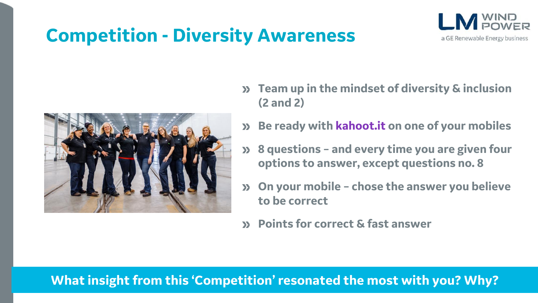## **Competition - Diversity Awareness**





- **Team up in the mindset of diversity & inclusion (2 and 2)**
- **Be ready with kahoot.it on one of your mobiles**  $\sum$
- **8 questions – and every time you are given four options to answer, except questions no. 8**
- **On your mobile – chose the answer you believe to be correct**
- **Points for correct & fast answer**  $\sum$

### **What insight from this 'Competition' resonated the most with you? Why?**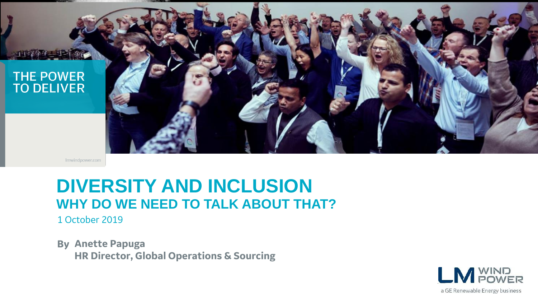

Imwindpower.com

## **DIVERSITY AND INCLUSION WHY DO WE NEED TO TALK ABOUT THAT?**

1 October 2019

**By Anette Papuga HR Director, Global Operations & Sourcing**

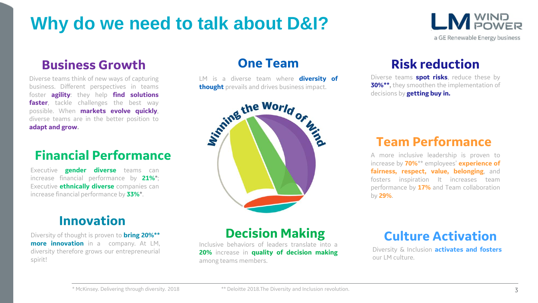## **Why do we need to talk about D&I?**

### **Business Growth**

Diverse teams think of new ways of capturing business. Different perspectives in teams foster **agility**: they help **find solutions faster**, tackle challenges the best way possible. When **markets evolve quickly**, diverse teams are in the better position to **adapt and grow.**

### **Financial Performance**

Executive **gender diverse** teams can increase financial performance by **21%**\*; Executive **ethnically diverse** companies can increase financial performance by **33%**\*.

## **Innovation**

Diversity of thought is proven to **bring 20%\*\* more innovation** in a company. At LM, diversity therefore grows our entrepreneurial spirit!

#### **One Team**

LM is a diverse team where **diversity of thought** prevails and drives business impact.



## **Risk reduction**

**LM** POWER

a GE Renewable Energy business

Diverse teams **spot risks**, reduce these by **30%\*\*,** they smoothen the implementation of decisions by **getting buy in.**

### **Team Performance**

A more inclusive leadership is proven to increase by **70%**\*\* employees' **experience of fairness, respect, value, belonging**, and fosters inspiration It increases team performance by **17%** and Team collaboration by **29%**.

### **Decision Making**

Inclusive behaviors of leaders translate into a **20%** increase in **quality of decision making** among teams members.

## **Culture Activation**

Diversity & Inclusion **activates and fosters** our LM culture.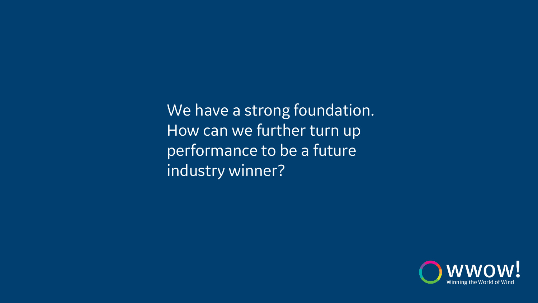We have a strong foundation. How can we further turn up performance to be a future industry winner?

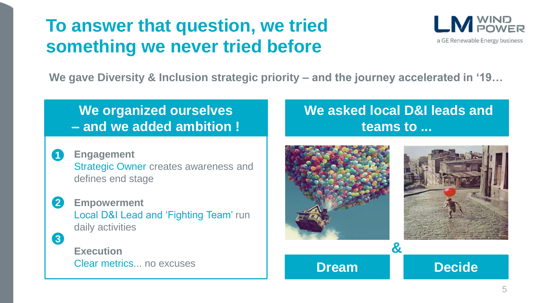## **To answer that question, we tried something we never tried before**



**We gave Diversity & Inclusion strategic priority – and the journey accelerated in '19…**

## **We organized ourselves – and we added ambition !**

- **Engagement**  Strategic Owner creates awareness and defines end stage **1**
- **Empowerment** Local D&I Lead and 'Fighting Team' run daily activities **2 3**

**Execution** Clear metrics... no excuses

## **We asked local D&I leads and teams to ...**

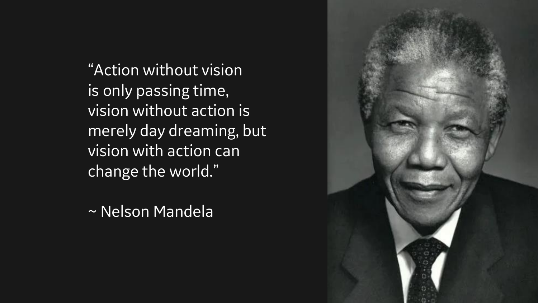"Action without vision is only passing time, vision without action is merely day dreaming, but vision with action can change the world."

~ Nelson Mandela

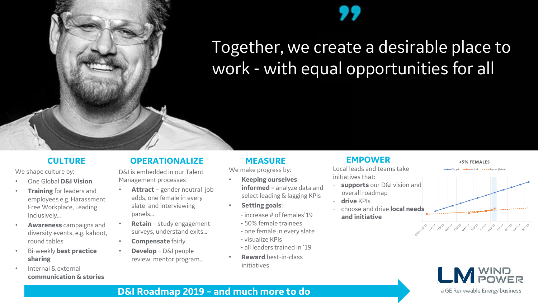## Together, we create a desirable place to work - with equal opportunities for all

#### **CULTURE**

We shape culture by:

- One Global **D&I Vision**
- **Training** for leaders and employees e.g. Harassment Free Workplace, Leading Inclusively…
- **b**<br> **R E** • **Awareness** campaigns and diversity events, e.g. kahoot,
- Bi-weekly **best practice sharing**
- Internal & external **communication & stories**

#### **OPERATIONALIZE**

D&I is embedded in our Talent Management processes

- **Attract** gender neutral job adds, one female in every slate and interviewing panels…
- **Retain** study engagement surveys, understand exits…
- **Compensate** fairly
- **Develop** D&I people review, mentor program…

#### **MEASURE**

We make progress by:

- **Keeping ourselves informed –** analyze data and select leading & lagging KPIs
- **Setting goals**:
	- increase # of females'19
	- 50% female trainees
	- one female in every slate
	- visualize KPIs
	- all leaders trained in '19
- **Reward** best-in-class initiatives

#### **EMPOWER**

Local leads and teams take initiatives that:

- **supports** our D&I vision and overall roadmap
- **drive** KPIs
- choose and drive **local needs and initiative**



General Andrew Control Andrew Andrew Andrew Control 2019 and 2019 and 2019



#### **D&I Roadmap 2019 – and much more to do**